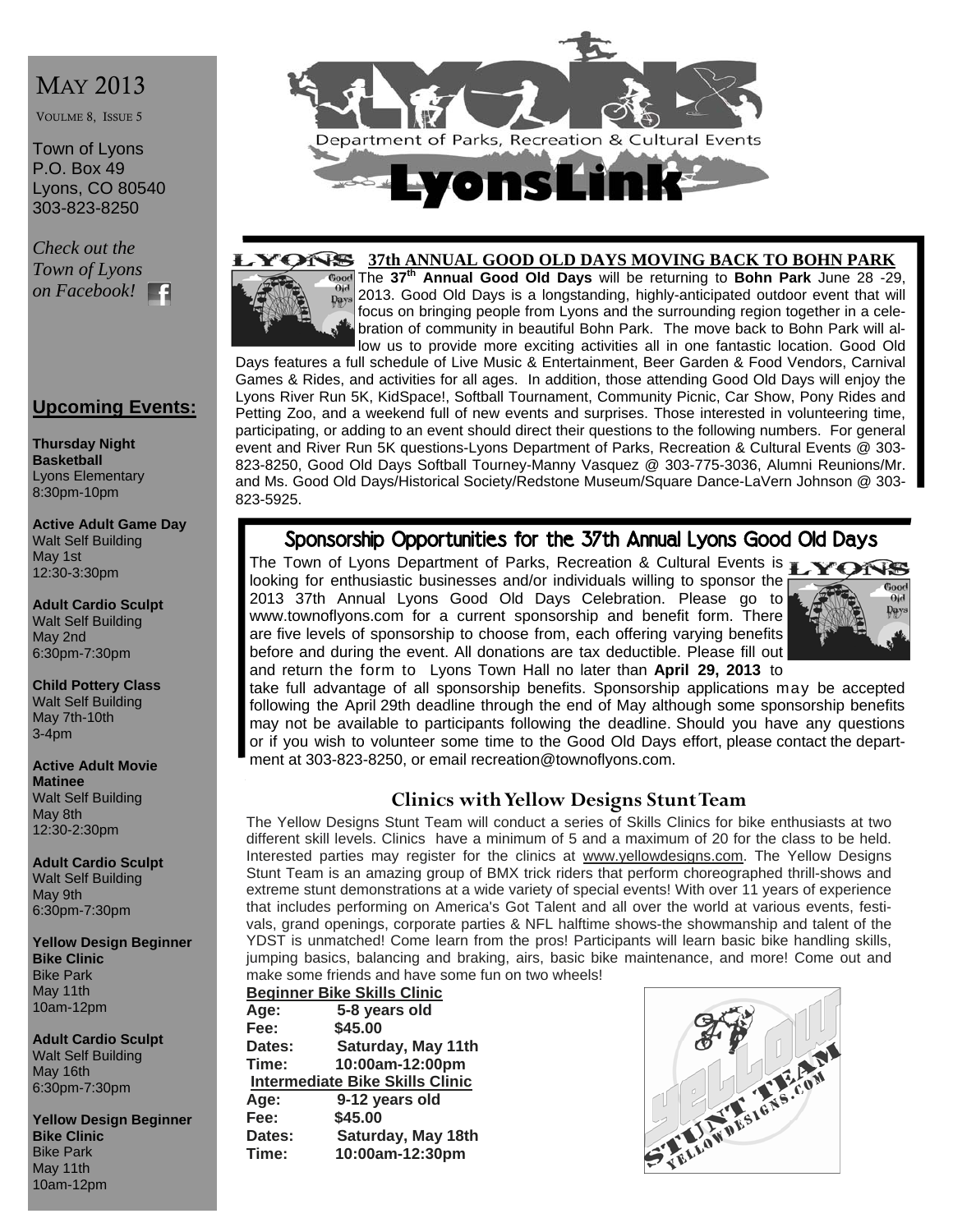# MAY 2013

VOULME 8, ISSUE 5

Town of Lyons P.O. Box 49 Lyons, CO 80540 303-823-8250

*Check out the Town of Lyons on Facebook!* 

#### **Upcoming Events:**

**Thursday Night Basketball**  Lyons Elementary 8:30pm-10pm

**Active Adult Game Day**  Walt Self Building May 1st 12:30-3:30pm

**Adult Cardio Sculpt**  Walt Self Building May 2nd 6:30pm-7:30pm

**Child Pottery Class**  Walt Self Building May 7th-10th 3-4pm

#### **Active Adult Movie Matinee**

Walt Self Building May 8th 12:30-2:30pm

**Adult Cardio Sculpt**  Walt Self Building May 9th 6:30pm-7:30pm

**Yellow Design Beginner Bike Clinic**  Bike Park May 11th 10am-12pm

**Adult Cardio Sculpt**  Walt Self Building May 16th 6:30pm-7:30pm

**Yellow Design Beginner Bike Clinic**  Bike Park May 11th 10am-12pm



#### **37th ANNUAL GOOD OLD DAYS MOVING BACK TO BOHN PARK** TES

The **37th Annual Good Old Days** will be returning to **Bohn Park** June 28 -29,  $O<sub>id</sub>$ 2013. Good Old Days is a longstanding, highly-anticipated outdoor event that will pays focus on bringing people from Lyons and the surrounding region together in a celebration of community in beautiful Bohn Park. The move back to Bohn Park will allow us to provide more exciting activities all in one fantastic location. Good Old

Days features a full schedule of Live Music & Entertainment, Beer Garden & Food Vendors, Carnival Games & Rides, and activities for all ages. In addition, those attending Good Old Days will enjoy the Lyons River Run 5K, KidSpace!, Softball Tournament, Community Picnic, Car Show, Pony Rides and Petting Zoo, and a weekend full of new events and surprises. Those interested in volunteering time, participating, or adding to an event should direct their questions to the following numbers. For general event and River Run 5K questions-Lyons Department of Parks, Recreation & Cultural Events @ 303- 823-8250, Good Old Days Softball Tourney-Manny Vasquez @ 303-775-3036, Alumni Reunions/Mr. and Ms. Good Old Days/Historical Society/Redstone Museum/Square Dance-LaVern Johnson @ 303- 823-5925.

# Sponsorship Opportunities for the 37th Annual Lyons Good Old Days

The Town of Lyons Department of Parks, Recreation & Cultural Events is **TARKS** looking for enthusiastic businesses and/or individuals willing to sponsor the 2013 37th Annual Lyons Good Old Days Celebration. Please go to www.townoflyons.com for a current sponsorship and benefit form. There are five levels of sponsorship to choose from, each offering varying benefits before and during the event. All donations are tax deductible. Please fill out and return the form to Lyons Town Hall no later than **April 29, 2013** to



take full advantage of all sponsorship benefits. Sponsorship applications may be accepted following the April 29th deadline through the end of May although some sponsorship benefits may not be available to participants following the deadline. Should you have any questions or if you wish to volunteer some time to the Good Old Days effort, please contact the department at 303-823-8250, or email recreation@townoflyons.com.

### **Clinics with Yellow Designs Stunt Team**

The Yellow Designs Stunt Team will conduct a series of Skills Clinics for bike enthusiasts at two different skill levels. Clinics have a minimum of 5 and a maximum of 20 for the class to be held. Interested parties may register for the clinics at www.yellowdesigns.com. The Yellow Designs Stunt Team is an amazing group of BMX trick riders that perform choreographed thrill-shows and extreme stunt demonstrations at a wide variety of special events! With over 11 years of experience that includes performing on America's Got Talent and all over the world at various events, festivals, grand openings, corporate parties & NFL halftime shows-the showmanship and talent of the YDST is unmatched! Come learn from the pros! Participants will learn basic bike handling skills, jumping basics, balancing and braking, airs, basic bike maintenance, and more! Come out and make some friends and have some fun on two wheels!

**Beginner Bike Skills Clinic Age: 5-8 years old Fee: \$45.00 Dates: Saturday, May 11th Time: 10:00am-12:00pm Intermediate Bike Skills Clinic Age: 9-12 years old Fee: \$45.00 Dates: Saturday, May 18th Time: 10:00am-12:30pm** 

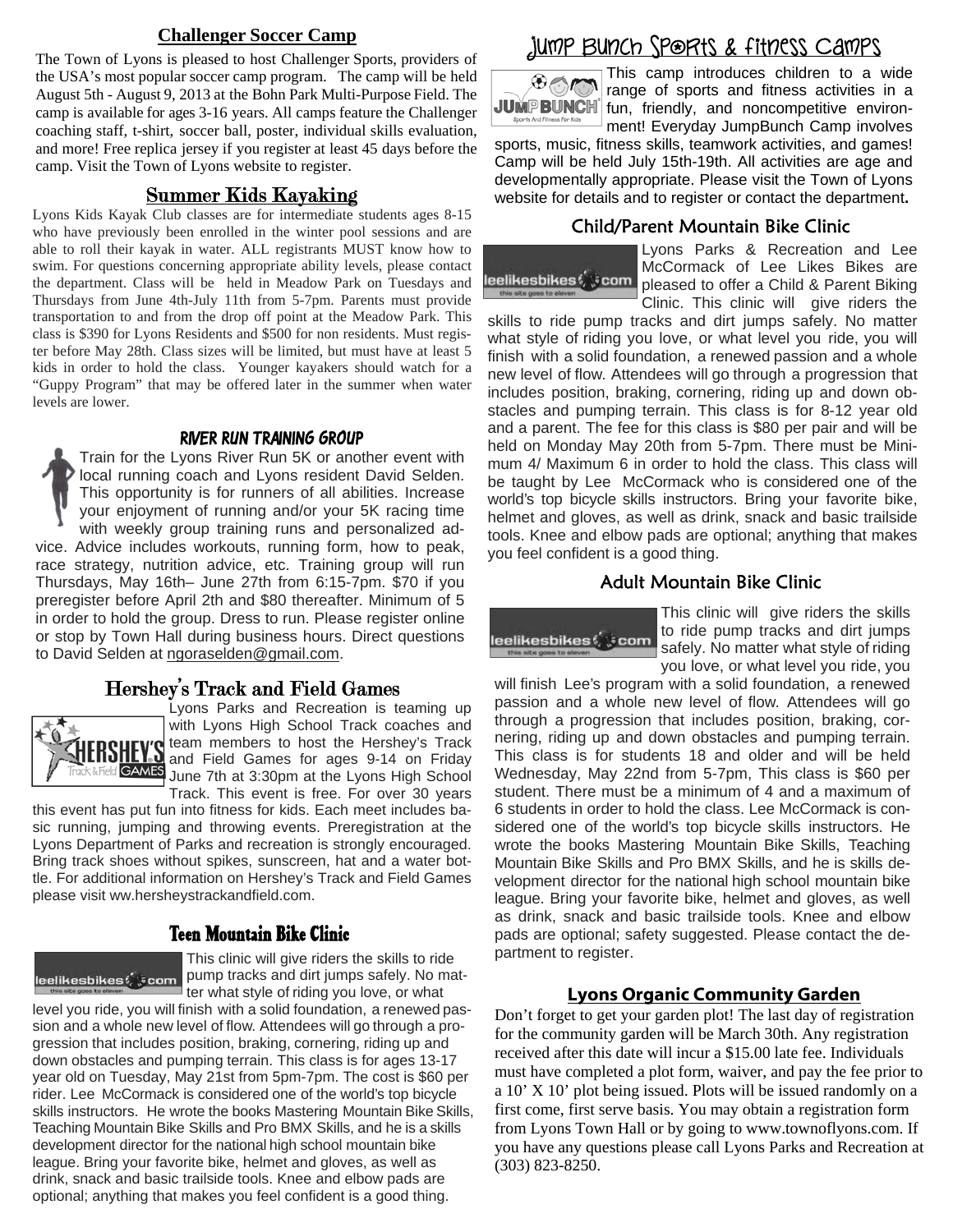#### **Challenger Soccer Camp**

The Town of Lyons is pleased to host Challenger Sports, providers of the USA's most popular soccer camp program. The camp will be held August 5th - August 9, 2013 at the Bohn Park Multi-Purpose Field. The camp is available for ages 3-16 years. All camps feature the Challenger coaching staff, t-shirt, soccer ball, poster, individual skills evaluation, and more! Free replica jersey if you register at least 45 days before the camp. Visit the Town of Lyons website to register.

Lyons Kids Kayak Club classes are for intermediate students ages 8-15 who have previously been enrolled in the winter pool sessions and are able to roll their kayak in water. ALL registrants MUST know how to swim. For questions concerning appropriate ability levels, please contact the department. Class will be held in Meadow Park on Tuesdays and Thursdays from June 4th-July 11th from 5-7pm. Parents must provide transportation to and from the drop off point at the Meadow Park. This class is \$390 for Lyons Residents and \$500 for non residents. Must register before May 28th. Class sizes will be limited, but must have at least 5 kids in order to hold the class. Younger kayakers should watch for a "Guppy Program" that may be offered later in the summer when water levels are lower.

#### River Run Training Group

Train for the Lyons River Run 5K or another event with local running coach and Lyons resident David Selden. This opportunity is for runners of all abilities. Increase your enjoyment of running and/or your 5K racing time with weekly group training runs and personalized advice. Advice includes workouts, running form, how to peak, race strategy, nutrition advice, etc. Training group will run Thursdays, May 16th– June 27th from 6:15-7pm. \$70 if you preregister before April 2th and \$80 thereafter. Minimum of 5 in order to hold the group. Dress to run. Please register online or stop by Town Hall during business hours. Direct questions to David Selden at ngoraselden@gmail.com.

#### Hershey's Track and Field Games



Lyons Parks and Recreation is teaming up with Lyons High School Track coaches and team members to host the Hershey's Track **ERSHEV'S** team members to host the Hershey's Track<br>**ERSHEV'S** and Field Games for ages 9-14 on Friday GAMES June 7th at 3:30pm at the Lyons High School Track. This event is free. For over 30 years

this event has put fun into fitness for kids. Each meet includes basic running, jumping and throwing events. Preregistration at the Lyons Department of Parks and recreation is strongly encouraged. Bring track shoes without spikes, sunscreen, hat and a water bottle. For additional information on Hershey's Track and Field Games please visit ww.hersheystrackandfield.com.

### Teen Mountain Bike Clinic

This clinic will give riders the skills to ride pump tracks and dirt jumps safely. No matter what style of riding you love, or what

level you ride, you will finish with a solid foundation, a renewed passion and a whole new level of flow. Attendees will go through a progression that includes position, braking, cornering, riding up and down obstacles and pumping terrain. This class is for ages 13-17 year old on Tuesday, May 21st from 5pm-7pm. The cost is \$60 per rider. Lee McCormack is considered one of the world's top bicycle skills instructors. He wrote the books Mastering Mountain Bike Skills, Teaching Mountain Bike Skills and Pro BMX Skills, and he is a skills development director for the national high school mountain bike league. Bring your favorite bike, helmet and gloves, as well as drink, snack and basic trailside tools. Knee and elbow pads are optional; anything that makes you feel confident is a good thing.

# Jump Bunch Sports & fitness Camps



This camp introduces children to a wide range of sports and fitness activities in a JUMP BUNCH fun, friendly, and noncompetitive environment! Everyday JumpBunch Camp involves

sports, music, fitness skills, teamwork activities, and games! Camp will be held July 15th-19th. All activities are age and developmentally appropriate. Please visit the Town of Lyons Summer Kids Kayaking website for details and to register or contact the department**.** 

#### Child/Parent Mountain Bike Clinic



Lyons Parks & Recreation and Lee McCormack of Lee Likes Bikes are pleased to offer a Child & Parent Biking Clinic. This clinic will give riders the

skills to ride pump tracks and dirt jumps safely. No matter what style of riding you love, or what level you ride, you will finish with a solid foundation, a renewed passion and a whole new level of flow. Attendees will go through a progression that includes position, braking, cornering, riding up and down obstacles and pumping terrain. This class is for 8-12 year old and a parent. The fee for this class is \$80 per pair and will be held on Monday May 20th from 5-7pm. There must be Minimum 4/ Maximum 6 in order to hold the class. This class will be taught by Lee McCormack who is considered one of the world's top bicycle skills instructors. Bring your favorite bike, helmet and gloves, as well as drink, snack and basic trailside tools. Knee and elbow pads are optional; anything that makes you feel confident is a good thing.

#### Adult Mountain Bike Clinic



This clinic will give riders the skills to ride pump tracks and dirt jumps safely. No matter what style of riding you love, or what level you ride, you

will finish Lee's program with a solid foundation, a renewed passion and a whole new level of flow. Attendees will go through a progression that includes position, braking, cornering, riding up and down obstacles and pumping terrain. This class is for students 18 and older and will be held Wednesday, May 22nd from 5-7pm, This class is \$60 per student. There must be a minimum of 4 and a maximum of 6 students in order to hold the class. Lee McCormack is considered one of the world's top bicycle skills instructors. He wrote the books Mastering Mountain Bike Skills, Teaching Mountain Bike Skills and Pro BMX Skills, and he is skills development director for the national high school mountain bike league. Bring your favorite bike, helmet and gloves, as well as drink, snack and basic trailside tools. Knee and elbow pads are optional; safety suggested. Please contact the department to register.

#### **Lyons Organic Community Garden**

Don't forget to get your garden plot! The last day of registration for the community garden will be March 30th. Any registration received after this date will incur a \$15.00 late fee. Individuals must have completed a plot form, waiver, and pay the fee prior to a 10' X 10' plot being issued. Plots will be issued randomly on a first come, first serve basis. You may obtain a registration form from Lyons Town Hall or by going to www.townoflyons.com. If you have any questions please call Lyons Parks and Recreation at (303) 823-8250.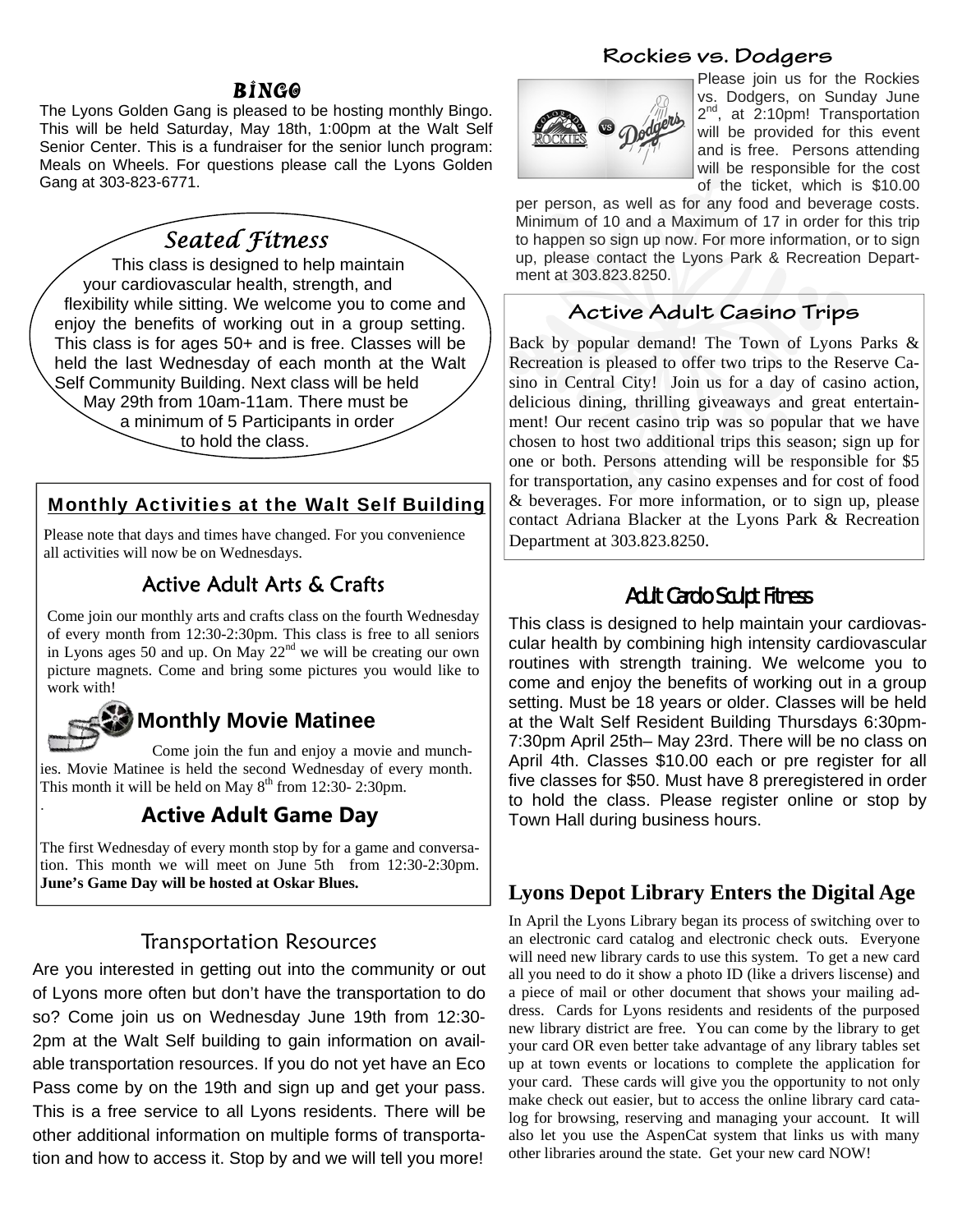#### BINGO

The Lyons Golden Gang is pleased to be hosting monthly Bingo. This will be held Saturday, May 18th, 1:00pm at the Walt Self Senior Center. This is a fundraiser for the senior lunch program: Meals on Wheels. For questions please call the Lyons Golden Gang at 303-823-6771.

# *Seated Fitness*

 This class is designed to help maintain your cardiovascular health, strength, and flexibility while sitting. We welcome you to come and enjoy the benefits of working out in a group setting. This class is for ages 50+ and is free. Classes will be held the last Wednesday of each month at the Walt Self Community Building. Next class will be held May 29th from 10am-11am. There must be a minimum of 5 Participants in order to hold the class.

## Monthly Activities at the Walt Self Building

Please note that days and times have changed. For you convenience  $\vert$  Department at 303.823.8250. all activities will now be on Wednesdays.

## Active Adult Arts & Crafts

Come join our monthly arts and crafts class on the fourth Wednesday of every month from 12:30-2:30pm. This class is free to all seniors in Lyons ages 50 and up. On May  $22<sup>nd</sup>$  we will be creating our own picture magnets. Come and bring some pictures you would like to work with!

# **Monthly Movie Matinee**

.

 Come join the fun and enjoy a movie and munchies. Movie Matinee is held the second Wednesday of every month. This month it will be held on May  $8<sup>th</sup>$  from 12:30- 2:30pm.

## **Active Adult Game Day**

The first Wednesday of every month stop by for a game and conversation. This month we will meet on June 5th from 12:30-2:30pm. **June's Game Day will be hosted at Oskar Blues.** 

### Transportation Resources

Are you interested in getting out into the community or out of Lyons more often but don't have the transportation to do so? Come join us on Wednesday June 19th from 12:30- 2pm at the Walt Self building to gain information on available transportation resources. If you do not yet have an Eco Pass come by on the 19th and sign up and get your pass. This is a free service to all Lyons residents. There will be other additional information on multiple forms of transportation and how to access it. Stop by and we will tell you more!

#### **Rockies vs. Dodgers**



Please join us for the Rockies vs. Dodgers, on Sunday June 2<sup>nd</sup>, at 2:10pm! Transportation will be provided for this event and is free. Persons attending will be responsible for the cost of the ticket, which is \$10.00

per person, as well as for any food and beverage costs. Minimum of 10 and a Maximum of 17 in order for this trip to happen so sign up now. For more information, or to sign up, please contact the Lyons Park & Recreation Department at 303.823.8250.

## **Active Adult Casino Trips**

Back by popular demand! The Town of Lyons Parks & Recreation is pleased to offer two trips to the Reserve Casino in Central City! Join us for a day of casino action, delicious dining, thrilling giveaways and great entertainment! Our recent casino trip was so popular that we have chosen to host two additional trips this season; sign up for one or both. Persons attending will be responsible for \$5 for transportation, any casino expenses and for cost of food & beverages. For more information, or to sign up, please contact Adriana Blacker at the Lyons Park & Recreation

### Adult Cardio Sculpt Fitness

This class is designed to help maintain your cardiovascular health by combining high intensity cardiovascular routines with strength training. We welcome you to come and enjoy the benefits of working out in a group setting. Must be 18 years or older. Classes will be held at the Walt Self Resident Building Thursdays 6:30pm-7:30pm April 25th– May 23rd. There will be no class on April 4th. Classes \$10.00 each or pre register for all five classes for \$50. Must have 8 preregistered in order to hold the class. Please register online or stop by Town Hall during business hours.

### **Lyons Depot Library Enters the Digital Age**

In April the Lyons Library began its process of switching over to an electronic card catalog and electronic check outs. Everyone will need new library cards to use this system. To get a new card all you need to do it show a photo ID (like a drivers liscense) and a piece of mail or other document that shows your mailing address. Cards for Lyons residents and residents of the purposed new library district are free. You can come by the library to get your card OR even better take advantage of any library tables set up at town events or locations to complete the application for your card. These cards will give you the opportunity to not only make check out easier, but to access the online library card catalog for browsing, reserving and managing your account. It will also let you use the AspenCat system that links us with many other libraries around the state. Get your new card NOW!